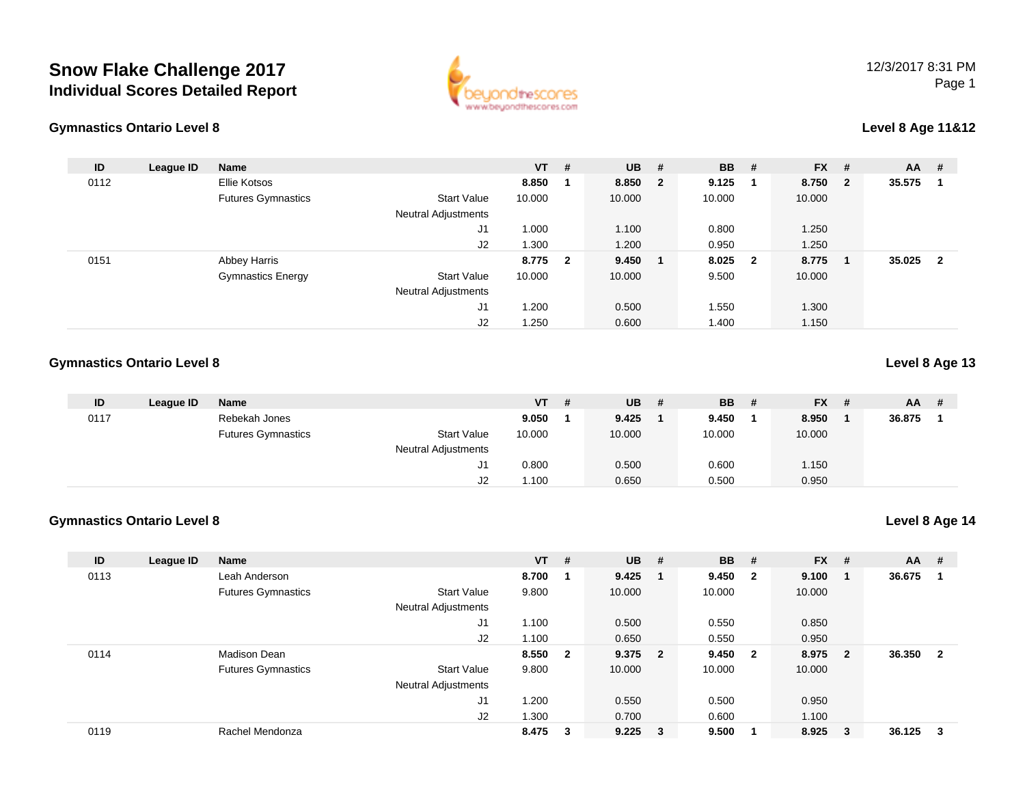## **Snow Flake Challenge 2017Individual Scores Detailed Report**



### **Gymnastics Ontario Level 8**

### **Level 8 Age 11&12**

| ID   | League ID | <b>Name</b>               |                            | $VT$ #  | <b>UB</b> | #                       | <b>BB</b> | #                       | <b>FX</b> | #                       | <b>AA</b> | -#                      |
|------|-----------|---------------------------|----------------------------|---------|-----------|-------------------------|-----------|-------------------------|-----------|-------------------------|-----------|-------------------------|
| 0112 |           | Ellie Kotsos              |                            | 8.850   | 8.850     | $\overline{\mathbf{2}}$ | 9.125     | - 1                     | 8.750     | $\overline{\mathbf{2}}$ | 35.575    |                         |
|      |           | <b>Futures Gymnastics</b> | <b>Start Value</b>         | 10.000  | 10.000    |                         | 10.000    |                         | 10.000    |                         |           |                         |
|      |           |                           | <b>Neutral Adjustments</b> |         |           |                         |           |                         |           |                         |           |                         |
|      |           |                           | J <sub>1</sub>             | 1.000   | 1.100     |                         | 0.800     |                         | 1.250     |                         |           |                         |
|      |           |                           | J2                         | 1.300   | 1.200     |                         | 0.950     |                         | 1.250     |                         |           |                         |
| 0151 |           | <b>Abbey Harris</b>       |                            | 8.775 2 | 9.450     |                         | 8.025     | $\overline{\mathbf{2}}$ | 8.775     | -1                      | 35.025    | $\overline{\mathbf{2}}$ |
|      |           | <b>Gymnastics Energy</b>  | Start Value                | 10.000  | 10.000    |                         | 9.500     |                         | 10.000    |                         |           |                         |
|      |           |                           | <b>Neutral Adjustments</b> |         |           |                         |           |                         |           |                         |           |                         |
|      |           |                           | J1                         | .200    | 0.500     |                         | 1.550     |                         | 1.300     |                         |           |                         |
|      |           |                           | J2                         | .250    | 0.600     |                         | 1.400     |                         | 1.150     |                         |           |                         |

#### **Gymnastics Ontario Level 8Level 8 Age 13**

| ID   | League ID | <b>Name</b>               |                            | $VT$ # | $UB$ # | <b>BB</b> | # | <b>FX</b> | # | AA     | # |
|------|-----------|---------------------------|----------------------------|--------|--------|-----------|---|-----------|---|--------|---|
| 0117 |           | Rebekah Jones             |                            | 9.050  | 9.425  | 9.450     |   | 8.950     |   | 36.875 |   |
|      |           | <b>Futures Gymnastics</b> | Start Value                | 10.000 | 10.000 | 10.000    |   | 10.000    |   |        |   |
|      |           |                           | <b>Neutral Adjustments</b> |        |        |           |   |           |   |        |   |
|      |           |                           | ו ש                        | 0.800  | 0.500  | 0.600     |   | 1.150     |   |        |   |
|      |           |                           | J2                         | 100،   | 0.650  | 0.500     |   | 0.950     |   |        |   |

### **Gymnastics Ontario Level 8**

**Level 8 Age 14**

| ID   | League ID | <b>Name</b>               |                            | $VT$ # |                | <b>UB</b>   | #                       | <b>BB</b> | #            | $FX$ # |                         | $AA$ #   |                |
|------|-----------|---------------------------|----------------------------|--------|----------------|-------------|-------------------------|-----------|--------------|--------|-------------------------|----------|----------------|
| 0113 |           | Leah Anderson             |                            | 8.700  |                | 9.425       |                         | 9.450     | $\mathbf{2}$ | 9.100  |                         | 36.675   | $\blacksquare$ |
|      |           | <b>Futures Gymnastics</b> | <b>Start Value</b>         | 9.800  |                | 10.000      |                         | 10.000    |              | 10.000 |                         |          |                |
|      |           |                           | Neutral Adjustments        |        |                |             |                         |           |              |        |                         |          |                |
|      |           |                           | J <sub>1</sub>             | 1.100  |                | 0.500       |                         | 0.550     |              | 0.850  |                         |          |                |
|      |           |                           | J2                         | 1.100  |                | 0.650       |                         | 0.550     |              | 0.950  |                         |          |                |
| 0114 |           | Madison Dean              |                            | 8.550  | $\overline{2}$ | 9.375       | $\overline{\mathbf{2}}$ | 9.450     | $\mathbf{2}$ | 8.975  | $\overline{\mathbf{2}}$ | 36.350 2 |                |
|      |           | <b>Futures Gymnastics</b> | <b>Start Value</b>         | 9.800  |                | 10.000      |                         | 10.000    |              | 10.000 |                         |          |                |
|      |           |                           | <b>Neutral Adjustments</b> |        |                |             |                         |           |              |        |                         |          |                |
|      |           |                           | J <sub>1</sub>             | 1.200  |                | 0.550       |                         | 0.500     |              | 0.950  |                         |          |                |
|      |           |                           | J2                         | 1.300  |                | 0.700       |                         | 0.600     |              | 1.100  |                         |          |                |
| 0119 |           | Rachel Mendonza           |                            | 8.475  | 3              | $9.225 \t3$ |                         | 9.500     |              | 8.925  | $\mathbf{3}$            | 36.125   | $\mathbf{3}$   |